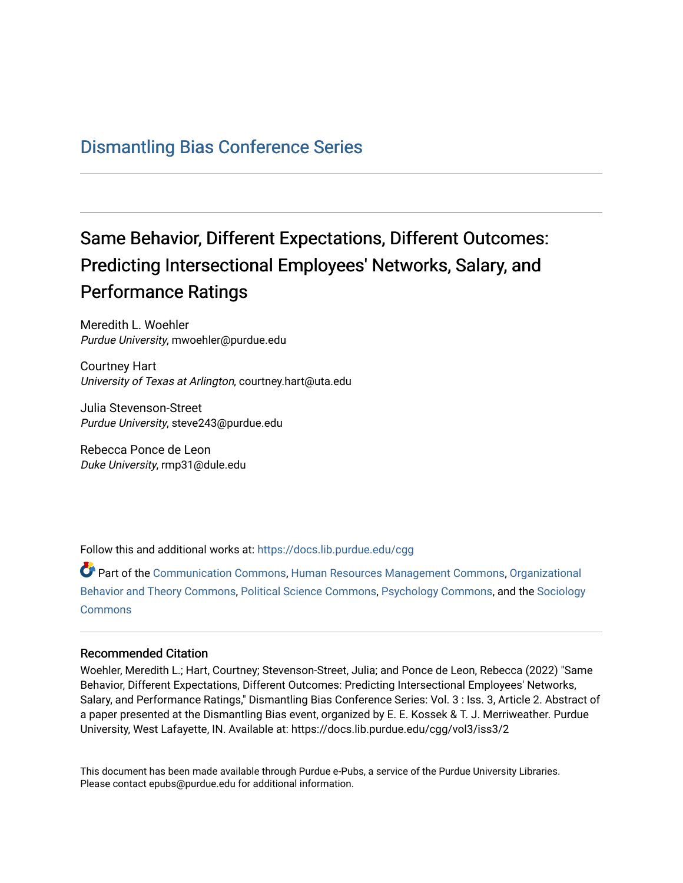## [Dismantling Bias Conference Series](https://docs.lib.purdue.edu/cgg)

## Same Behavior, Different Expectations, Different Outcomes: Predicting Intersectional Employees' Networks, Salary, and Performance Ratings

Meredith L. Woehler Purdue University, mwoehler@purdue.edu

Courtney Hart University of Texas at Arlington, courtney.hart@uta.edu

Julia Stevenson-Street Purdue University, steve243@purdue.edu

Rebecca Ponce de Leon Duke University, rmp31@dule.edu

Follow this and additional works at: [https://docs.lib.purdue.edu/cgg](https://docs.lib.purdue.edu/cgg?utm_source=docs.lib.purdue.edu%2Fcgg%2Fvol3%2Fiss3%2F2&utm_medium=PDF&utm_campaign=PDFCoverPages)

Part of the [Communication Commons,](https://network.bepress.com/hgg/discipline/325?utm_source=docs.lib.purdue.edu%2Fcgg%2Fvol3%2Fiss3%2F2&utm_medium=PDF&utm_campaign=PDFCoverPages) [Human Resources Management Commons,](https://network.bepress.com/hgg/discipline/633?utm_source=docs.lib.purdue.edu%2Fcgg%2Fvol3%2Fiss3%2F2&utm_medium=PDF&utm_campaign=PDFCoverPages) [Organizational](https://network.bepress.com/hgg/discipline/639?utm_source=docs.lib.purdue.edu%2Fcgg%2Fvol3%2Fiss3%2F2&utm_medium=PDF&utm_campaign=PDFCoverPages) [Behavior and Theory Commons,](https://network.bepress.com/hgg/discipline/639?utm_source=docs.lib.purdue.edu%2Fcgg%2Fvol3%2Fiss3%2F2&utm_medium=PDF&utm_campaign=PDFCoverPages) [Political Science Commons,](https://network.bepress.com/hgg/discipline/386?utm_source=docs.lib.purdue.edu%2Fcgg%2Fvol3%2Fiss3%2F2&utm_medium=PDF&utm_campaign=PDFCoverPages) [Psychology Commons,](https://network.bepress.com/hgg/discipline/404?utm_source=docs.lib.purdue.edu%2Fcgg%2Fvol3%2Fiss3%2F2&utm_medium=PDF&utm_campaign=PDFCoverPages) and the [Sociology](https://network.bepress.com/hgg/discipline/416?utm_source=docs.lib.purdue.edu%2Fcgg%2Fvol3%2Fiss3%2F2&utm_medium=PDF&utm_campaign=PDFCoverPages) **[Commons](https://network.bepress.com/hgg/discipline/416?utm_source=docs.lib.purdue.edu%2Fcgg%2Fvol3%2Fiss3%2F2&utm_medium=PDF&utm_campaign=PDFCoverPages)** 

## Recommended Citation

Woehler, Meredith L.; Hart, Courtney; Stevenson-Street, Julia; and Ponce de Leon, Rebecca (2022) "Same Behavior, Different Expectations, Different Outcomes: Predicting Intersectional Employees' Networks, Salary, and Performance Ratings," Dismantling Bias Conference Series: Vol. 3 : Iss. 3, Article 2. Abstract of a paper presented at the Dismantling Bias event, organized by E. E. Kossek & T. J. Merriweather. Purdue University, West Lafayette, IN. Available at: https://docs.lib.purdue.edu/cgg/vol3/iss3/2

This document has been made available through Purdue e-Pubs, a service of the Purdue University Libraries. Please contact epubs@purdue.edu for additional information.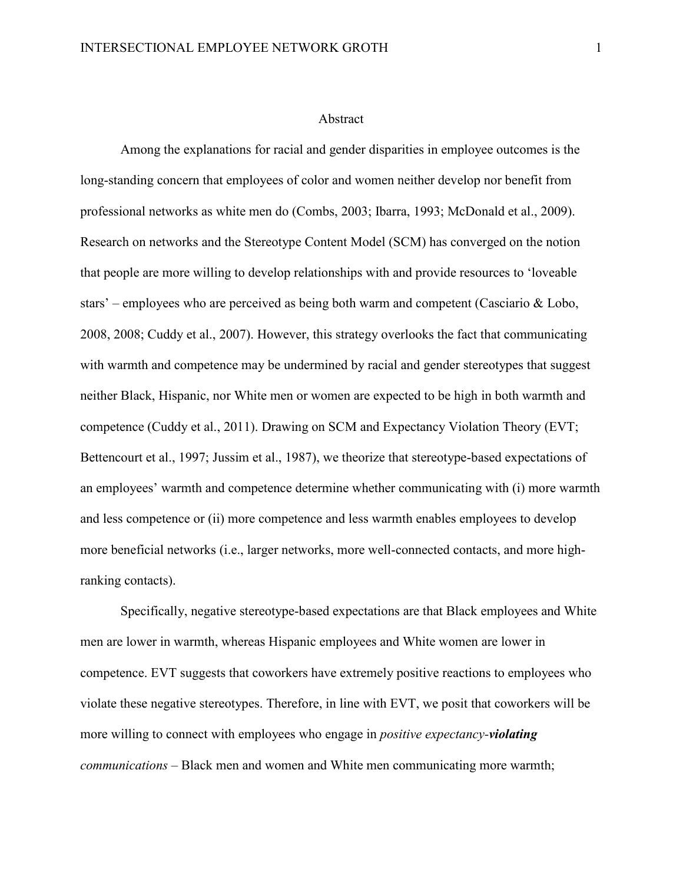## Abstract

 competence (Cuddy et al., 2011). Drawing on SCM and Expectancy Violation Theory (EVT; Among the explanations for racial and gender disparities in employee outcomes is the long-standing concern that employees of color and women neither develop nor benefit from professional networks as white men do (Combs, 2003; Ibarra, 1993; McDonald et al., 2009). Research on networks and the Stereotype Content Model (SCM) has converged on the notion that people are more willing to develop relationships with and provide resources to 'loveable stars' – employees who are perceived as being both warm and competent (Casciario & Lobo, 2008, 2008; Cuddy et al., 2007). However, this strategy overlooks the fact that communicating with warmth and competence may be undermined by racial and gender stereotypes that suggest neither Black, Hispanic, nor White men or women are expected to be high in both warmth and Bettencourt et al., 1997; Jussim et al., 1987), we theorize that stereotype-based expectations of an employees' warmth and competence determine whether communicating with (i) more warmth and less competence or (ii) more competence and less warmth enables employees to develop more beneficial networks (i.e., larger networks, more well-connected contacts, and more highranking contacts).

 Specifically, negative stereotype-based expectations are that Black employees and White *communications* – Black men and women and White men communicating more warmth; men are lower in warmth, whereas Hispanic employees and White women are lower in competence. EVT suggests that coworkers have extremely positive reactions to employees who violate these negative stereotypes. Therefore, in line with EVT, we posit that coworkers will be more willing to connect with employees who engage in *positive expectancy-violating*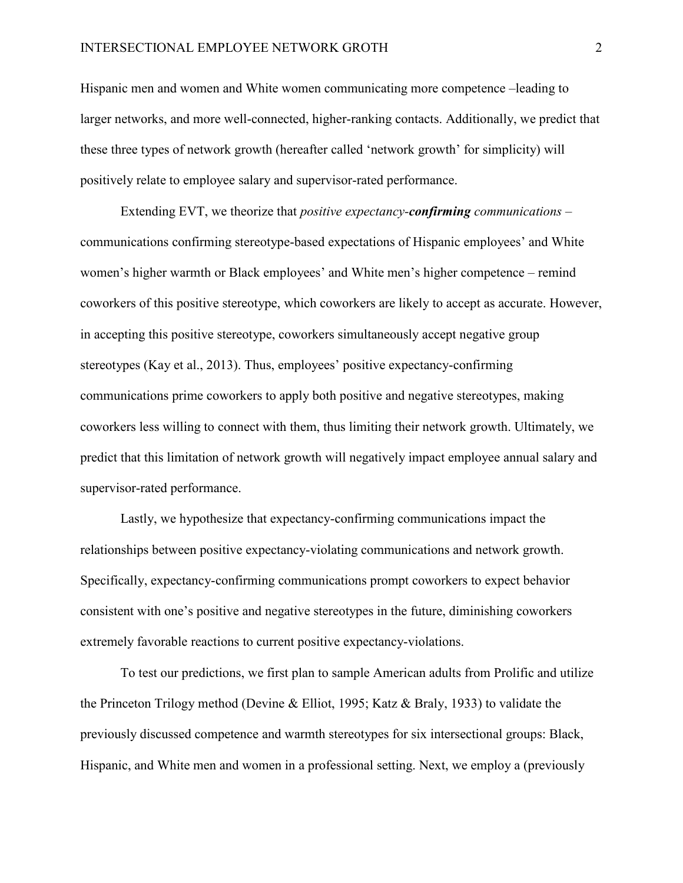Hispanic men and women and White women communicating more competence –leading to these three types of network growth (hereafter called 'network growth' for simplicity) will positively relate to employee salary and supervisor-rated performance. larger networks, and more well-connected, higher-ranking contacts. Additionally, we predict that

 Extending EVT, we theorize that *positive expectancy-confirming communications* – coworkers of this positive stereotype, which coworkers are likely to accept as accurate. However, coworkers less willing to connect with them, thus limiting their network growth. Ultimately, we predict that this limitation of network growth will negatively impact employee annual salary and communications confirming stereotype-based expectations of Hispanic employees' and White women's higher warmth or Black employees' and White men's higher competence – remind in accepting this positive stereotype, coworkers simultaneously accept negative group stereotypes (Kay et al., 2013). Thus, employees' positive expectancy-confirming communications prime coworkers to apply both positive and negative stereotypes, making supervisor-rated performance.

Lastly, we hypothesize that expectancy-confirming communications impact the relationships between positive expectancy-violating communications and network growth. Specifically, expectancy-confirming communications prompt coworkers to expect behavior consistent with one's positive and negative stereotypes in the future, diminishing coworkers extremely favorable reactions to current positive expectancy-violations.

 To test our predictions, we first plan to sample American adults from Prolific and utilize the Princeton Trilogy method (Devine & Elliot, 1995; Katz & Braly, 1933) to validate the previously discussed competence and warmth stereotypes for six intersectional groups: Black, Hispanic, and White men and women in a professional setting. Next, we employ a (previously